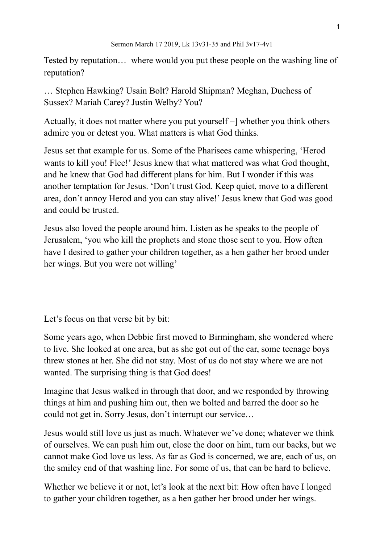Tested by reputation… where would you put these people on the washing line of reputation?

… Stephen Hawking? Usain Bolt? Harold Shipman? Meghan, Duchess of Sussex? Mariah Carey? Justin Welby? You?

Actually, it does not matter where you put yourself –] whether you think others admire you or detest you. What matters is what God thinks.

Jesus set that example for us. Some of the Pharisees came whispering, 'Herod wants to kill you! Flee!' Jesus knew that what mattered was what God thought, and he knew that God had different plans for him. But I wonder if this was another temptation for Jesus. 'Don't trust God. Keep quiet, move to a different area, don't annoy Herod and you can stay alive!' Jesus knew that God was good and could be trusted.

Jesus also loved the people around him. Listen as he speaks to the people of Jerusalem, 'you who kill the prophets and stone those sent to you. How often have I desired to gather your children together, as a hen gather her brood under her wings. But you were not willing'

Let's focus on that verse bit by bit:

Some years ago, when Debbie first moved to Birmingham, she wondered where to live. She looked at one area, but as she got out of the car, some teenage boys threw stones at her. She did not stay. Most of us do not stay where we are not wanted. The surprising thing is that God does!

Imagine that Jesus walked in through that door, and we responded by throwing things at him and pushing him out, then we bolted and barred the door so he could not get in. Sorry Jesus, don't interrupt our service…

Jesus would still love us just as much. Whatever we've done; whatever we think of ourselves. We can push him out, close the door on him, turn our backs, but we cannot make God love us less. As far as God is concerned, we are, each of us, on the smiley end of that washing line. For some of us, that can be hard to believe.

Whether we believe it or not, let's look at the next bit: How often have I longed to gather your children together, as a hen gather her brood under her wings.